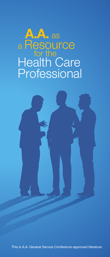# **A.A.** as <sup>a</sup> Resource **for the** Health Care **Professional**



This is A.A. General Service Conference-approved literature.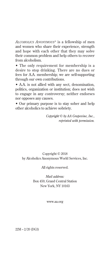*Alcoholics Anonymous®* is a fellowship of men and women who share their experience, strength and hope with each other that they may solve their common problem and help others to recover from alcoholism.

• The only requirement for membership is a desire to stop drinking. There are no dues or fees for A.A. membership; we are self-supporting through our own contributions.

• A.A. is not allied with any sect, denomination, politics, organization or institution; does not wish to engage in any controversy; neither endorses nor opposes any causes.

• Our primary purpose is to stay sober and help other alcoholics to achieve sobriety.

> *Copyright © by AA Grapevine, Inc., reprinted with permission.*

## Copyright © 2018 by Alcoholics Anonymous World Services, Inc.

#### All rights reserved.

*Mail address:* Box 459, Grand Central Station New York, NY 10163

www.aa.org

22M – 2/20 (DG3)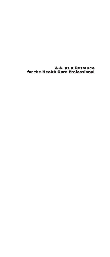A.A. as a Resource for the Health Care Professional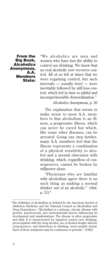From the Big Book, *Alcoholics Anonymous,* A.A. Members State:

"We alcoholics are men and women who have lost the ability to control our drinking. We know that no real alcoholic *ever* recovers control. All of us felt at times that we were regaining control, but such intervals — usually brief — were inevitably followed by still less control, which led in time to pitiful and incomprehensible demoralization."

*Alcoholics Anonymous*, p. 30

The explanation that seems to make sense to most A.A. members is that alcoholism is an illness, a progressive illness, which can never be cured but which, like some other diseases, can be arrested. Going one step further, many A.A. members feel that the illness represents a combination of a physical sensitivity to alcohol and a mental obsession with drinking, which, regardless of consequences, cannot be broken by willpower alone.

"Physicians who are familiar with alcoholism agree there is no such thing as making a normal drinker out of an alcoholic." *(ibid,*  p. 31)\*

The definition of alcoholism as defined by the American Society of \* Addiction Medicine and the National Council on Alcoholism and Drug Dependence: "Alcoholism is a primary, chronic disease with genetic, psychosocial, and environmental factors influencing its development and manifestations. The disease is often progressive and fatal. It is characterized by impaired control over drinking, preoccupation with the drug alcohol, use of alcohol despite adverse consequences, and distortions in thinking, most notably denial. Each of these symptoms may be continuous or periodic." (1992)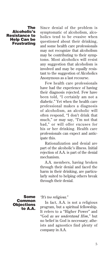#### The Alcoholic's Resistance to Help Can be Frustrating

Since denial of the problem is symptomatic of alcoholism, alcoholics tend to be evasive when questioned about their drinking, and some health care professionals may not recognize that alcoholism may be contributing to their symptoms. Most alcoholics will resist any suggestion that alcoholism is involved and may be equally resistant to the suggestion of Alcoholics Anonymous as a last recourse.

Few health care professionals have had the experience of having their diagnosis rejected. Few have been told, "I certainly am not a diabetic." Yet when the health care professional makes a diagnosis of alcoholism, an alcoholic will often respond, "I don't drink that much," or may say, "I'm not that bad," or will offer excuses for his or her drinking. Health care professionals can expect and anticipate this.

Rationalization and denial are part of the alcoholic's illness. Initial rejection of A.A. is part of the denial mechanism.

A.A. members, having broken through their denial and faced the harm in their drinking, are particularly suited to helping others break through their denial.

Some Common **Objections** to A.A.

#### *"It's too religious."*

In fact, A.A. is not a religious program, but a spiritual fellowship. It refers to a "Higher Power" and "God *as we understand Him*," but no belief in God is necessary; atheists and agnostics find plenty of company in A.A.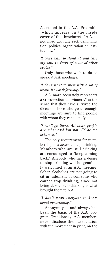As stated in the A.A. Preamble (which appears on the inside cover of this brochure): "A.A. is not allied with any sect, denomination, politics, organization or institution…"

*"I don't want to stand up and bare my soul in front of a lot of other people."*

Only those who wish to do so speak at A.A. meetings.

## *"I don't want to meet with a lot of losers. It's too depressing."*

A.A. more accurately represents a cross-section of "winners," in the sense that they have survived the disease. Those who go to enough meetings are sure to find people with whom they can identify.

## *"I can't go there. All those people are sober and I'm not. I'd be too ashamed."*

The only requirement for membership is a *desire* to stop drinking. Members who are still drinking are encouraged to "keep coming back." Anybody who has a desire to stop drinking will be genuinely welcomed at an A.A. meeting. Sober alcoholics are not going to sit in judgment of someone who cannot stop drinking, since not being able to stop drinking is what brought them to A.A.

## *"I don't want everyone to know about my drinking."*

Anonymity is and always has been the basis of the A.A. program. Traditionally, A.A. members never disclose their association with the movement in print, on the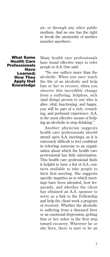air, or through any other public medium. And no one has the right to break the anonymity of another member anywhere.

What Some Health Care **Professionals Have** Learned; How They Apply that **Knowledge**  Many health care professionals have found effective ways to refer people to A.A. One said:

"No one suffers more than the alcoholic. When you once touch the life of an alcoholic and help him or her to recover, when you observe this incredible change from a suffering, helpless, sick (and dying) person to one who is alive, vital, functioning, and happy, you will be part of a rich, rewarding, and profound experience. A.A. is the most effective means of helping an alcoholic to stop drinking."

Another physician suggests health care professionals should attend open A.A. meetings, as it is extremely difficult to feel confident in referring someone to an organization about which the health care professional has little information. This health care professional finds it helpful to have a list of A.A. contacts available to take people to their first meeting. She suggests specific inquiries as to which meetings have been attended, how frequently, and whether the client has obtained an A.A. sponsor to serve as a link to the Fellowship and help the client work a program of recovery. Whether the alcoholic is suffering from a diseased liver or an emotional depression, getting him or her sober is the first step toward recovery. Wherever he or she lives, there is sure to be an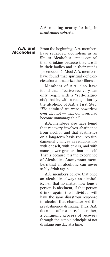A.A. meeting nearby for help in maintaining sobriety.

## A.A. and Alcoholism

From the beginning, A.A. members have regarded alcoholism as an illness. Alcoholics cannot control their drinking because they are ill in their bodies and in their minds (or emotions). Most A.A. members have found that spiritual deficiencies also characterize their illness.

Members of A.A. also have found that effective recovery can only begin with a "self-diagnosis"; that is, with a recognition by the alcoholic of A.A.'s First Step: "We admitted we were powerless over alcohol — that our lives had become unmanageable."

A.A. members also have found that recovery involves abstinence from alcohol, and that abstinence on a long-term basis requires fundamental changes in relationships with oneself, with others, and with some power greater than oneself. That is because it is the experience of Alcoholics Anonymous members that an alcoholic can never safely drink again.

A.A. members believe that once an alcoholic, always an alcoholic, i.e., that no matter how long a person is abstinent, if that person drinks again, the individual will have the same disastrous response to alcohol that characterized the preabstinence drinking. Thus, A.A. does not offer a cure, but, rather, a continuing process of recovery through the simple principle of not drinking one day at a time.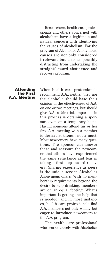Researchers, health care professionals and others concerned with alcoholism have a legitimate and natural concern with identifying the causes of alcoholism. For the program of Alcoholics Anonymous, causes are not only considered irrelevant but also as possibly distracting from undertaking the straightforward abstinence and recovery program.

#### Attending the First A.A. Meeting

When health care professionals recommend A.A., neither they nor the alcoholic should base their opinion of the effectiveness of A.A. on one or two meetings, but should give A.A. a fair trial. Important in this process is obtaining a sponsor, even on a temporary basis. Having someone attend his or her first A.A. meeting with a member is desirable, though not a must. Most newcomers have many questions. The sponsor can answer these and reassure the newcomer that others have experienced the same reluctance and fear in taking a first step toward recovery. Sharing experience as peers is the unique service Alcoholics Anonymous offers. With no membership requirements beyond the desire to stop drinking, members are on an equal footing. What's important is getting the help that is needed, and in most instances, health care professionals find A.A. members not only willing but eager to introduce newcomers to the A.A. program.

The health care professional who works closely with Alcoholics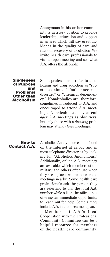Anonymous in his or her community is in a key position to provide leadership, education and support in an area which will pay great dividends in the quality of care and rates of recovery of alcoholics. We invite health care professionals to visit an open meeting and see what A.A. offers the alcoholic.

#### **Singleness** of Purpose and Problems Other than Alcoholism

Some professionals refer to alcoholism and drug addiction as "substance abuse," "substance use disorder" or "chemical dependency." Nonalcoholics are, therefore, sometimes introduced to A.A. and encouraged to attend A.A. meetings. Nonalcoholics may attend *open* A.A. meetings as observers, but only those with a *drinking* problem may attend *closed* meetings.

How to Contact A.A. Alcoholics Anonymous can be found on the Internet at aa.org and in most telephone directories by looking for "Alcoholics Anonymous." Additionally, online A.A. meetings are available, which members of the military and others often use when they are in places where there are no meetings nearby. Some health care professionals ask the person they are referring to dial the local A.A. number while still in the office, thus offering an immediate opportunity to reach out for help. Some simply include A.A. in their treatment plan.

Members of A.A.'s local Cooperation with the Professional Community Committee can be a helpful resource for members of the health care community.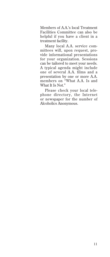Members of A.A.'s local Treatment Facilities Committee can also be helpful if you have a client in a treatment facility.

Many local A.A. service committees will, upon request, provide informational presentations for your organization. Sessions can be tailored to meet your needs. A typical agenda might include one of several A.A. films and a presentation by one or more A.A. members on "What A.A. Is and What It Is Not."

Please check your local telephone directory, the Internet or newspaper for the number of Alcoholics Anonymous.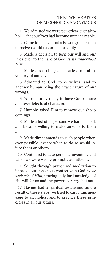1. We admitted we were powerless over alcohol — that our lives had become unmanageable.

 2. Came to believe that a Power greater than ourselves could restore us to sanity.

 3. Made a decision to turn our will and our lives over to the care of God *as we understood Him.*

 4. Made a searching and fearless moral inventory of ourselves.

 5. Admitted to God, to ourselves, and to another human being the exact nature of our wrongs.

 6. Were entirely ready to have God remove all these defects of character.

 7. Humbly asked Him to remove our shortcomings.

 8. Made a list of all persons we had harmed, and became willing to make amends to them all.

 9. Made direct amends to such people wherever possible, except when to do so would injure them or others.

10. Continued to take personal inventory and when we were wrong promptly admitted it.

11. Sought through prayer and meditation to improve our conscious contact with God *as we understood Him,* praying only for knowledge of His will for us and the power to carry that out.

12. Having had a spiritual awakening as the result of these steps, we tried to carry this message to alcoholics, and to practice these principles in all our affairs.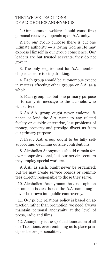## THE TWELVE TRADITIONS OF ALCOHOLICS ANONYMOUS

1. Our common welfare should come first; personal recovery depends upon A.A. unity.

 2. For our group purpose there is but one ultimate authority  $-$  a loving God as He may express Himself in our group conscience. Our leaders are but trusted servants; they do not govern.

 3. The only requirement for A.A. membership is a desire to stop drinking.

 4. Each group should be autonomous except in matters affecting other groups or A.A. as a whole.

 5. Each group has but one primary purpose — to carry its message to the alcoholic who still suffers.

6. An A.A. group ought never endorse, finance or lend the A.A. name to any related facility or outside enterprise, lest problems of money, property and prestige divert us from our primary purpose.

 7. Every A.A. group ought to be fully selfsupporting, declining outside contributions.

 8. Alcoholics Anonymous should remain forever nonprofessional, but our service centers may employ special workers.

 9. A.A., as such, ought never be organized; but we may create service boards or committees directly responsible to those they serve.

10. Alcoholics Anonymous has no opinion on outside issues; hence the A.A. name ought never be drawn into public controversy.

11. Our public relations policy is based on attraction rather than promotion; we need always maintain personal anonymity at the level of press, radio and films.

12. Anonymity is the spiritual foundation of all our Traditions, ever reminding us to place principles before personalities.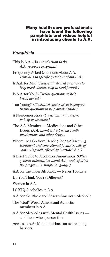#### Many health care professionals have found the following pamphlets and videos helpful in introducing clients to A.A.

# *Pamphlets*

| This Is A.A. (An introduction to the<br>A.A. recovery program.)                                                                               |
|-----------------------------------------------------------------------------------------------------------------------------------------------|
| Frequently Asked Questions About A.A.<br>(Answers to specific questions about A.A.)                                                           |
| Is A.A. for Me? (Twelve illustrated questions to<br>help break denial; easy-to-read format.)                                                  |
| Is A.A. for You? (Twelve questions to help<br>break denial.)                                                                                  |
| Too Young? (Illustrated stories of six teenagers;<br>twelve questions to help break denial.)                                                  |
| A Newcomer Asks (Questions and answers<br>to help newcomers.)                                                                                 |
| The A.A. Member — Medications and Other<br>Drugs (A.A. members' experience with<br>medications and other drugs.)                              |
| Where Do I Go from Here? (For people leaving<br>treatment and correctional facilities; tells of<br>continuing help offered by "outside" A.A.) |
| A Brief Guide to Alcoholics Anonymous (Offers<br>general information about A.A. and explains<br>the program in simple language.)              |
| A.A. for the Older Alcoholic — Never Too Late                                                                                                 |
| Do You Think You're Different?                                                                                                                |
| Women in A.A.                                                                                                                                 |
| LGBTQ Alcoholics in A.A.                                                                                                                      |
| A.A. for the Black and African-American Alcoholic                                                                                             |
| The "God" Word: Atheist and Agnostic<br>members in A.A.                                                                                       |
| A.A. for Alcoholics with Mental Health Issues —<br>and those who sponsor them                                                                 |
| Access to A.A.: Members share on overcoming<br>barriers                                                                                       |
|                                                                                                                                               |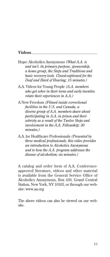## *Videos*

- Hope: Alcoholics Anonymous *(What A.A. is and isn't, its primary purpose, sponsorship, a home group, the Steps and Traditions and basic recovery tools. Closed-captioned for the Deaf and Hard of Hearing; 15 minutes.)*
- A.A. Videos for Young People *(A.A. members who got sober in their teens and early twenties relate their experiences in A.A.)*
- A New Freedom *(Filmed inside correctional facilities in the U.S. and Canada, a diverse group of A.A. members share about participating in A.A. in prison and their sobriety as a result of the Twelve Steps and involvement in the A.A. Fellowship; 30 minutes.)*
- A.A. for Healthcare Professionals *(Presented by three medical professionals, this video provides an introduction to Alcoholics Anonymous and to how the A.A. program addresses the disease of alcoholism; six minutes.)*

A catalog and order form of A.A. Conferenceapproved literature, videos and other material is available from the General Service Office of Alcoholics Anonymous, Box 459, Grand Central Station, New York, NY 10163, or through our website: www.aa.org

The above videos can also be viewed on our website.